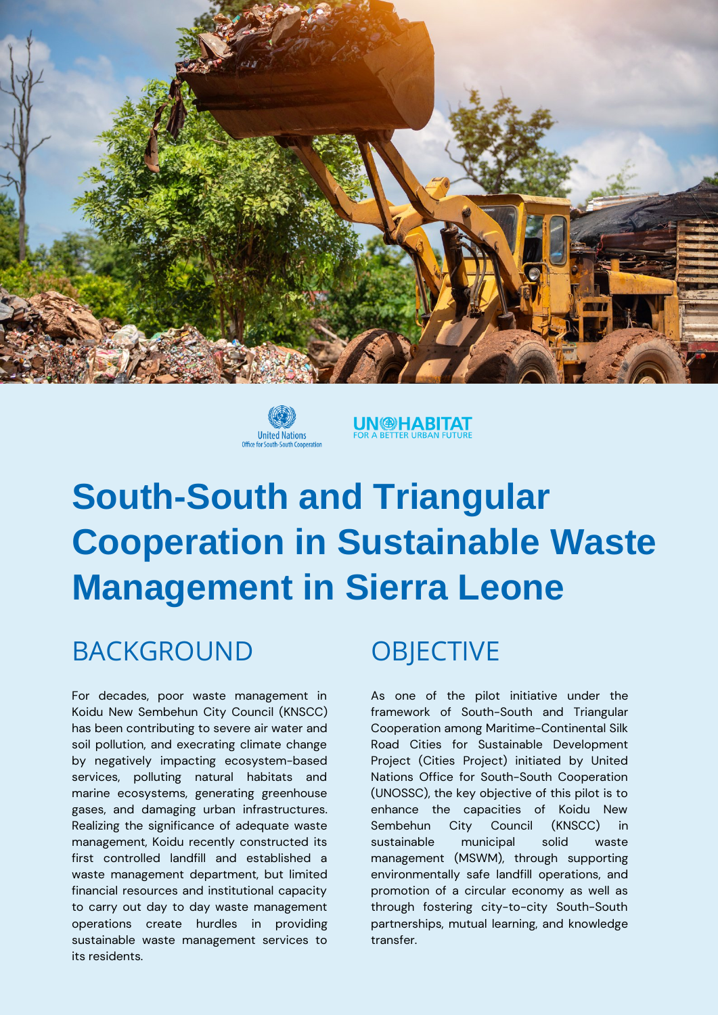



## **UN @HABITAT**

# **South-South and Triangular Cooperation in Sustainable Waste Management in Sierra Leone**

### BACKGROUND OBJECTIVE

For decades, poor waste management in Koidu New Sembehun City Council (KNSCC) has been contributing to severe air water and soil pollution, and execrating climate change by negatively impacting ecosystem-based services, polluting natural habitats and marine ecosystems, generating greenhouse gases, and damaging urban infrastructures. Realizing the significance of adequate waste management, Koidu recently constructed its first controlled landfill and established a waste management department, but limited financial resources and institutional capacity to carry out day to day waste management operations create hurdles in providing sustainable waste management services to its residents.

As one of the pilot initiative under the framework of South-South and Triangular Cooperation among Maritime-Continental Silk Road Cities for Sustainable Development Project (Cities Project) initiated by United Nations Office for South-South Cooperation (UNOSSC), the key objective of this pilot is to enhance the capacities of Koidu New Sembehun City Council (KNSCC) in sustainable municipal solid waste management (MSWM), through supporting environmentally safe landfill operations, and promotion of a circular economy as well as through fostering city-to-city South-South partnerships, mutual learning, and knowledge transfer.